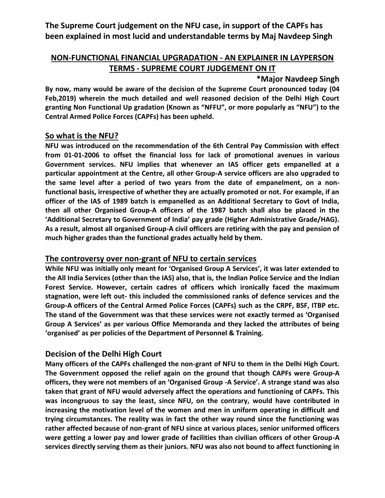**The Supreme Court judgement on the NFU case, in support of the CAPFs has been explained in most lucid and understandable terms by Maj Navdeep Singh**

# **NON-FUNCTIONAL FINANCIAL UPGRADATION - AN EXPLAINER IN LAYPERSON TERMS - SUPREME COURT JUDGEMENT ON IT**

### **\*Major Navdeep Singh**

**By now, many would be aware of the decision of the Supreme Court pronounced today (04 Feb,2019) wherein the much detailed and well reasoned decision of the Delhi High Court granting Non Functional Up gradation (Known as "NFFU", or more popularly as "NFU") to the Central Armed Police Forces (CAPFs) has been upheld.**

### **So what is the NFU?**

**NFU was introduced on the recommendation of the 6th Central Pay Commission with effect from 01-01-2006 to offset the financial loss for lack of promotional avenues in various Government services. NFU implies that whenever an IAS officer gets empanelled at a particular appointment at the Centre, all other Group-A service officers are also upgraded to the same level after a period of two years from the date of empanelment, on a nonfunctional basis, irrespective of whether they are actually promoted or not. For example, if an officer of the IAS of 1989 batch is empanelled as an Additional Secretary to Govt of India, then all other Organised Group-A officers of the 1987 batch shall also be placed in the 'Additional Secretary to Government of India' pay grade (Higher Administrative Grade/HAG). As a result, almost all organised Group-A civil officers are retiring with the pay and pension of much higher grades than the functional grades actually held by them.**

## **The controversy over non-grant of NFU to certain services**

**While NFU was initially only meant for 'Organised Group A Services', it was later extended to the All India Services (other than the IAS) also, that is, the Indian Police Service and the Indian Forest Service. However, certain cadres of officers which ironically faced the maximum stagnation, were left out- this included the commissioned ranks of defence services and the Group-A officers of the Central Armed Police Forces (CAPFs) such as the CRPF, BSF, ITBP etc. The stand of the Government was that these services were not exactly termed as 'Organised Group A Services' as per various Office Memoranda and they lacked the attributes of being 'organised' as per policies of the Department of Personnel & Training.**

## **Decision of the Delhi High Court**

**Many officers of the CAPFs challenged the non-grant of NFU to them in the Delhi High Court. The Government opposed the relief again on the ground that though CAPFs were Group-A officers, they were not members of an 'Organised Group -A Service'. A strange stand was also taken that grant of NFU would adversely affect the operations and functioning of CAPFs. This was incongruous to say the least, since NFU, on the contrary, would have contributed in increasing the motivation level of the women and men in uniform operating in difficult and trying circumstances. The reality was in fact the other way round since the functioning was rather affected because of non-grant of NFU since at various places, senior uniformed officers were getting a lower pay and lower grade of facilities than civilian officers of other Group-A services directly serving them as their juniors. NFU was also not bound to affect functioning in**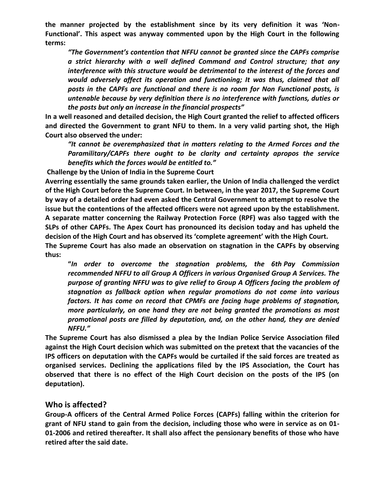**the manner projected by the establishment since by its very definition it was 'Non-Functional'. This aspect was anyway commented upon by the High Court in the following terms:**

*"The Government's contention that NFFU cannot be granted since the CAPFs comprise a strict hierarchy with a well defined Command and Control structure; that any interference with this structure would be detrimental to the interest of the forces and would adversely affect its operation and functioning; It was thus, claimed that all posts in the CAPFs are functional and there is no room for Non Functional posts, is untenable because by very definition there is no interference with functions, duties or the posts but only an increase in the financial prospects"*

**In a well reasoned and detailed decision, the High Court granted the relief to affected officers and directed the Government to grant NFU to them. In a very valid parting shot, the High Court also observed the under:**

*"It cannot be overemphasized that in matters relating to the Armed Forces and the Paramilitary/CAPFs there ought to be clarity and certainty apropos the service benefits which the forces would be entitled to."*

**Challenge by the Union of India in the Supreme Court**

**Averring essentially the same grounds taken earlier, the Union of India challenged the verdict of the High Court before the Supreme Court. In between, in the year 2017, the Supreme Court by way of a detailed order had even asked the Central Government to attempt to resolve the issue but the contentions of the affected officers were not agreed upon by the establishment. A separate matter concerning the Railway Protection Force (RPF) was also tagged with the SLPs of other CAPFs. The Apex Court has pronounced its decision today and has upheld the decision of the High Court and has observed its 'complete agreement' with the High Court.**

**The Supreme Court has also made an observation on stagnation in the CAPFs by observing thus:**

**"***In order to overcome the stagnation problems, the 6th Pay Commission recommended NFFU to all Group A Officers in various Organised Group A Services. The purpose of granting NFFU was to give relief to Group A Officers facing the problem of stagnation as fallback option when regular promotions do not come into various factors. It has come on record that CPMFs are facing huge problems of stagnation, more particularly, on one hand they are not being granted the promotions as most promotional posts are filled by deputation, and, on the other hand, they are denied NFFU."*

**The Supreme Court has also dismissed a plea by the Indian Police Service Association filed against the High Court decision which was submitted on the pretext that the vacancies of the IPS officers on deputation with the CAPFs would be curtailed if the said forces are treated as organised services. Declining the applications filed by the IPS Association, the Court has observed that there is no effect of the High Court decision on the posts of the IPS (on deputation).**

#### **Who is affected?**

**Group-A officers of the Central Armed Police Forces (CAPFs) falling within the criterion for grant of NFU stand to gain from the decision, including those who were in service as on 01- 01-2006 and retired thereafter. It shall also affect the pensionary benefits of those who have retired after the said date.**